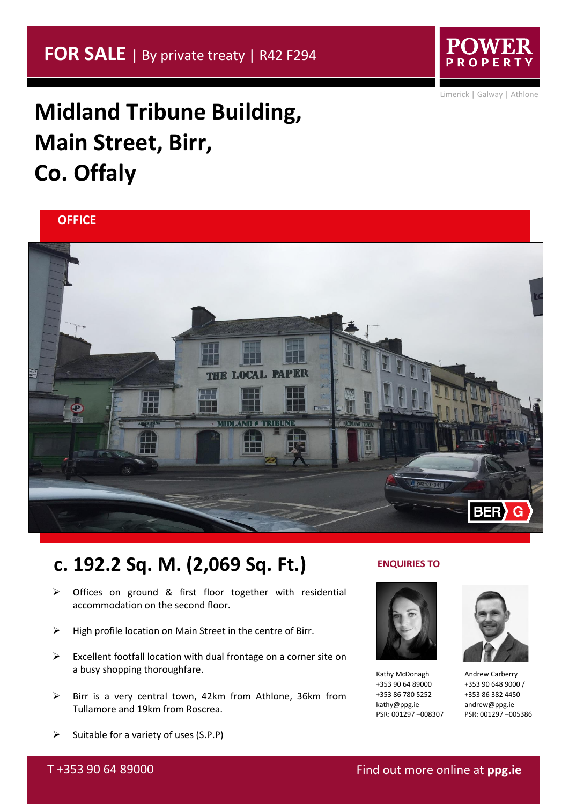PROPE

Limerick | Galway | Athlone

## **Midland Tribune Building, Main Street, Birr, Co. Offaly**





## **c. 192.2 Sq. M. (2,069 Sq. Ft.)**

- ➢ Offices on ground & first floor together with residential accommodation on the second floor.
- ➢ High profile location on Main Street in the centre of Birr.
- $\triangleright$  Excellent footfall location with dual frontage on a corner site on a busy shopping thoroughfare.
- ➢ Birr is a very central town, 42km from Athlone, 36km from Tullamore and 19km from Roscrea.

#### **ENQUIRIES TO**



Kathy McDonagh +353 90 64 89000 +353 86 780 5252 kathy@ppg.ie PSR: 001297 –008307



Andrew Carberry +353 90 648 9000 / +353 86 382 4450 andrew@ppg.ie PSR: 001297 –005386